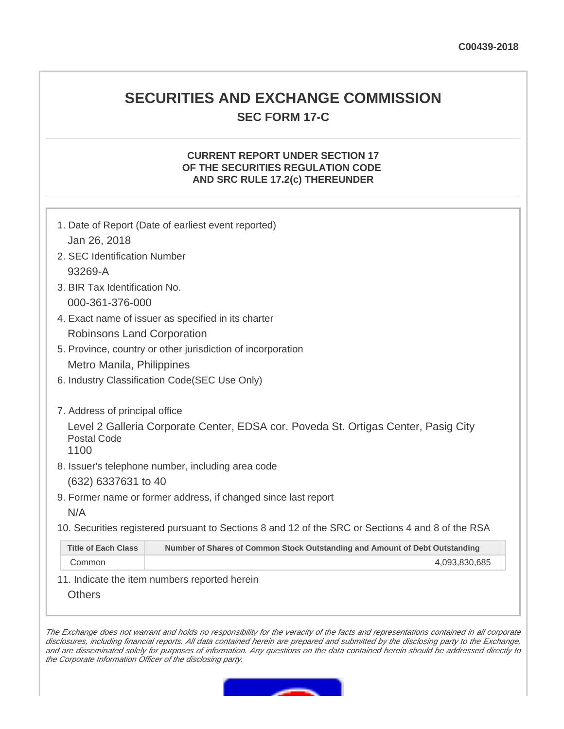# **SECURITIES AND EXCHANGE COMMISSION SEC FORM 17-C**

# **CURRENT REPORT UNDER SECTION 17 OF THE SECURITIES REGULATION CODE AND SRC RULE 17.2(c) THEREUNDER**

| 1. Date of Report (Date of earliest event reported)                                                      |                                                                             |
|----------------------------------------------------------------------------------------------------------|-----------------------------------------------------------------------------|
| Jan 26, 2018                                                                                             |                                                                             |
| 2. SEC Identification Number                                                                             |                                                                             |
| 93269-A                                                                                                  |                                                                             |
| 3. BIR Tax Identification No.                                                                            |                                                                             |
| 000-361-376-000                                                                                          |                                                                             |
| 4. Exact name of issuer as specified in its charter                                                      |                                                                             |
| Robinsons Land Corporation                                                                               |                                                                             |
| 5. Province, country or other jurisdiction of incorporation                                              |                                                                             |
| Metro Manila, Philippines                                                                                |                                                                             |
| 6. Industry Classification Code(SEC Use Only)                                                            |                                                                             |
|                                                                                                          |                                                                             |
| 7. Address of principal office                                                                           |                                                                             |
| Level 2 Galleria Corporate Center, EDSA cor. Poveda St. Ortigas Center, Pasig City<br><b>Postal Code</b> |                                                                             |
| 1100                                                                                                     |                                                                             |
| 8. Issuer's telephone number, including area code                                                        |                                                                             |
| (632) 6337631 to 40                                                                                      |                                                                             |
| 9. Former name or former address, if changed since last report                                           |                                                                             |
| N/A                                                                                                      |                                                                             |
| 10. Securities registered pursuant to Sections 8 and 12 of the SRC or Sections 4 and 8 of the RSA        |                                                                             |
| <b>Title of Each Class</b>                                                                               | Number of Shares of Common Stock Outstanding and Amount of Debt Outstanding |
| Common                                                                                                   | 4,093,830,685                                                               |
|                                                                                                          | 11 Indicato the item numbers reported bergin                                |

11. Indicate the item numbers reported herein

**Others** 

The Exchange does not warrant and holds no responsibility for the veracity of the facts and representations contained in all corporate disclosures, including financial reports. All data contained herein are prepared and submitted by the disclosing party to the Exchange, and are disseminated solely for purposes of information. Any questions on the data contained herein should be addressed directly to the Corporate Information Officer of the disclosing party.

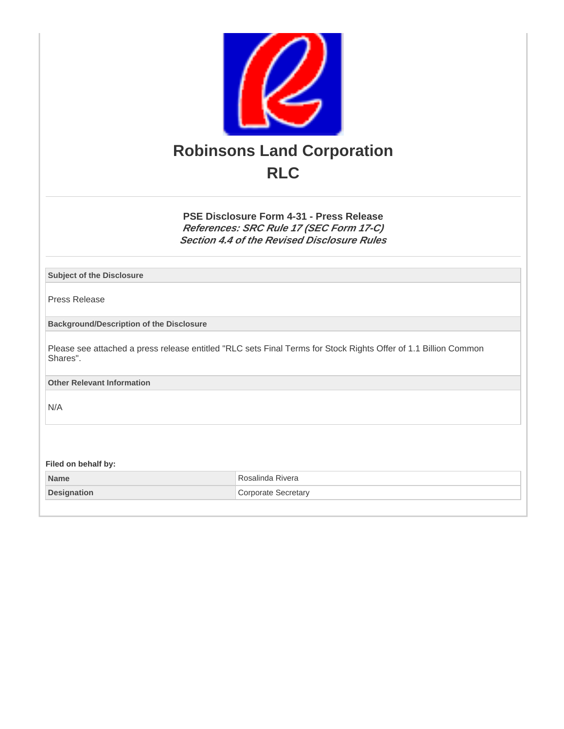

**PSE Disclosure Form 4-31 - Press Release References: SRC Rule 17 (SEC Form 17-C) Section 4.4 of the Revised Disclosure Rules**

**Subject of the Disclosure**

Press Release

**Background/Description of the Disclosure**

Please see attached a press release entitled "RLC sets Final Terms for Stock Rights Offer of 1.1 Billion Common Shares".

**Other Relevant Information**

N/A

**Filed on behalf by:**

**Name** Rosalinda Rivera **Designation** Corporate Secretary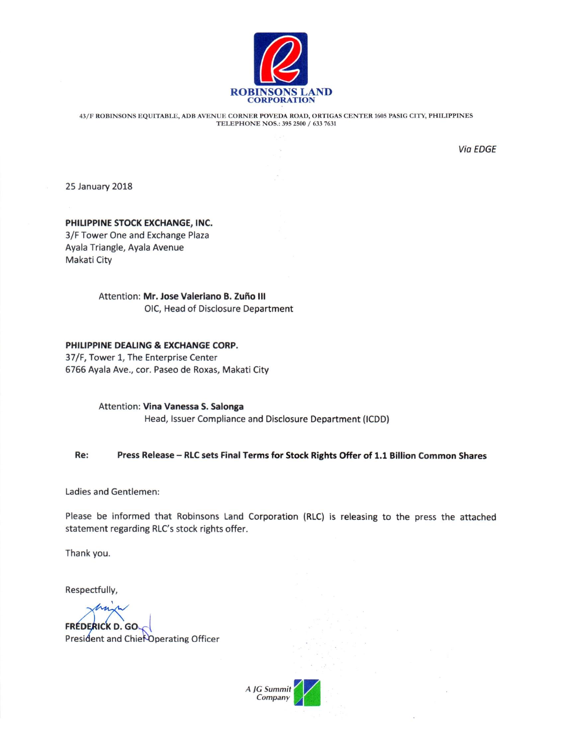

43/F ROBINSONS EQUITABLE, ADB AVENUE CORNER POVEDA ROAD, ORTIGAS CENTER 1605 PASIG CITY, PHILIPPINES TELEPHONE NOS.: 395 2500 / 633 7631

 $\bar{\alpha}$ 

**Via EDGE** 

**25 January 2018** 

### PHILIPPINE STOCK EXCHANGE, INC.

3/F Tower One and Exchange Plaza Ayala Triangle, Ayala Avenue Makati City

> Attention: Mr. Jose Valeriano B. Zuño III OIC, Head of Disclosure Department

### PHILIPPINE DEALING & EXCHANGE CORP.

37/F, Tower 1, The Enterprise Center 6766 Ayala Ave., cor. Paseo de Roxas, Makati City

> Attention: Vina Vanessa S. Salonga Head, Issuer Compliance and Disclosure Department (ICDD)

#### Re: Press Release - RLC sets Final Terms for Stock Rights Offer of 1.1 Billion Common Shares

Ladies and Gentlemen:

Please be informed that Robinsons Land Corporation (RLC) is releasing to the press the attached statement regarding RLC's stock rights offer.

Thank you.

Respectfully,

**FRÉDERICK D. GO.** President and Chief Operating Officer

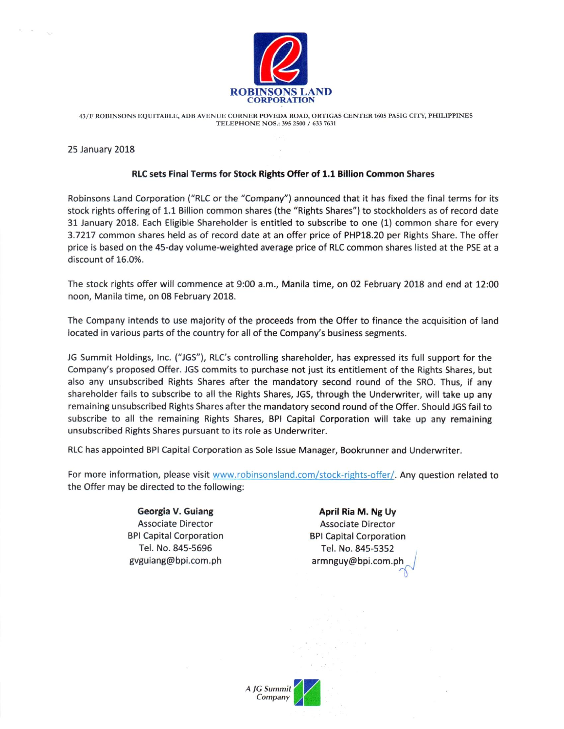

43/F ROBINSONS EQUITABLE, ADB AVENUE CORNER POVEDA ROAD, ORTIGAS CENTER 1605 PASIG CITY, PHILIPPINES TELEPHONE NOS.: 395 2500 / 633 7631

**25 January 2018** 

 $\kappa$  $\sim 100$ 

## RLC sets Final Terms for Stock Rights Offer of 1.1 Billion Common Shares

Robinsons Land Corporation ("RLC or the "Company") announced that it has fixed the final terms for its stock rights offering of 1.1 Billion common shares (the "Rights Shares") to stockholders as of record date 31 January 2018. Each Eligible Shareholder is entitled to subscribe to one (1) common share for every 3.7217 common shares held as of record date at an offer price of PHP18.20 per Rights Share. The offer price is based on the 45-day volume-weighted average price of RLC common shares listed at the PSE at a discount of 16.0%.

The stock rights offer will commence at 9:00 a.m., Manila time, on 02 February 2018 and end at 12:00 noon, Manila time, on 08 February 2018.

The Company intends to use majority of the proceeds from the Offer to finance the acquisition of land located in various parts of the country for all of the Company's business segments.

JG Summit Holdings, Inc. ("JGS"), RLC's controlling shareholder, has expressed its full support for the Company's proposed Offer. JGS commits to purchase not just its entitlement of the Rights Shares, but also any unsubscribed Rights Shares after the mandatory second round of the SRO. Thus, if any shareholder fails to subscribe to all the Rights Shares, JGS, through the Underwriter, will take up any remaining unsubscribed Rights Shares after the mandatory second round of the Offer. Should JGS fail to subscribe to all the remaining Rights Shares, BPI Capital Corporation will take up any remaining unsubscribed Rights Shares pursuant to its role as Underwriter.

RLC has appointed BPI Capital Corporation as Sole Issue Manager, Bookrunner and Underwriter.

For more information, please visit www.robinsonsland.com/stock-rights-offer/. Any question related to the Offer may be directed to the following:

> Georgia V. Guiang **Associate Director BPI Capital Corporation** Tel. No. 845-5696 gyguiang@bpi.com.ph

April Ria M. Ng Uy **Associate Director BPI Capital Corporation** Tel. No. 845-5352 armnguy@bpi.com.ph